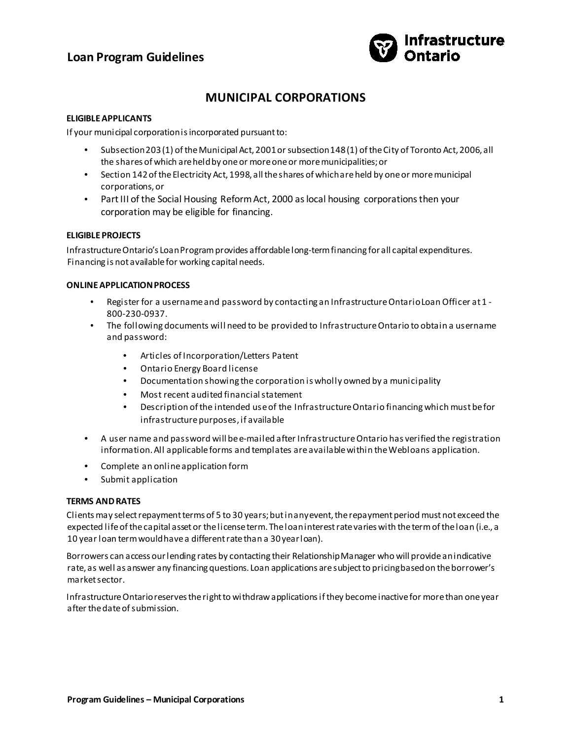## **Loan Program Guidelines**



# **MUNICIPAL CORPORATIONS**

## **ELIGIBLE APPLICANTS**

If your municipal corporation is incorporated pursuant to:

- Subsection 203 (1) of the Municipal Act, 2001 or subsection 148 (1) of the City of Toronto Act, 2006, all the shares of which are held by one or more one or more municipalities; or
- Section 142 of the Electricity Act, 1998, all the shares of which are held by one or more municipal corporations, or
- Part III of the Social Housing Reform Act, 2000 as local housing corporations then your corporation may be eligible for financing.

## **ELIGIBLE PROJECTS**

Infrastructure Ontario's Loan Program provides affordable long-term financing for all capital expenditures. Financing is not available for working capital needs.

## **ONLINE APPLICATION PROCESS**

- Register for a username and password by contacting an Infrastructure Ontario Loan Officer at 1 800-230-0937.
- The following documents will need to be provided to Infrastructure Ontario to obtain a username and password:
	- Articles of Incorporation/Letters Patent
	- Ontario Energy Board license
	- Documentation showing the corporation is wholly owned by a municipality
	- Most recent audited financial statement
	- Description of the intended use of the Infrastructure Ontario financing which must be for infrastructure purposes, if available
- A user name and password will be e-mailed after Infrastructure Ontario has verified the registration information. All applicable forms and templates are available within the Webloans application.
- Complete an online application form
- Submit application

## **TERMS AND RATES**

Clients may select repayment terms of 5 to 30 years; but in any event, the repayment period must not exceed the expected life of the capital asset or the license term. The loan interest rate varies with the term of the loan (i.e., a 10 year loan term would have a different rate than a 30 year loan).

Borrowers can access our lending rates by contacting their Relationship Manager who will provide an indicative rate, as well as answer any financing questions. Loan applications are subject to pricing based on the borrower's market sector.

Infrastructure Ontario reserves the right to withdraw applications if they become inactive for more than one year after the date of submission.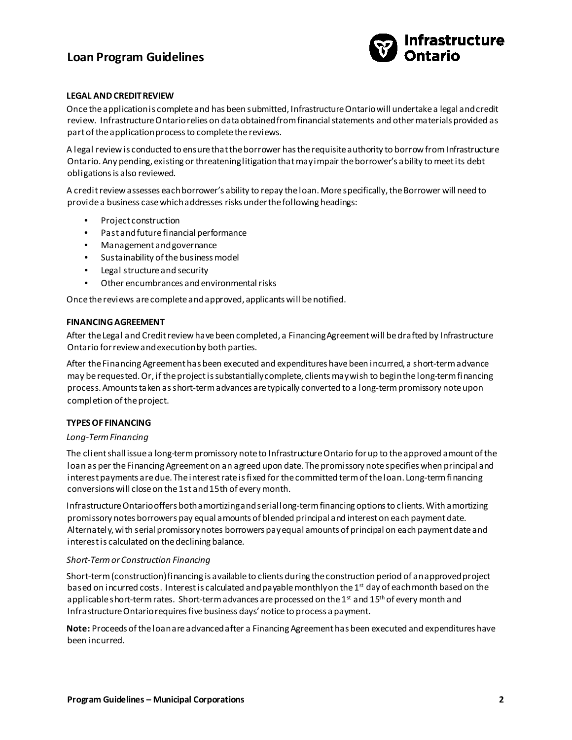## **Loan Program Guidelines**



### **LEGAL AND CREDIT REVIEW**

Once the application is complete and has been submitted, Infrastructure Ontario will undertake a legal and credit review. Infrastructure Ontario relies on data obtained from financial statements and other materials provided as part of the application process to complete the reviews.

A legal review is conducted to ensure that the borrower has the requisite authority to borrow from Infrastructure Ontario. Any pending, existing or threatening litigation that may impair the borrower's ability to meet its debt obligations is also reviewed.

A credit review assesses each borrower's ability to repay the loan. More specifically, the Borrower will need to provide a business case which addresses risks under the following headings:

- Project construction
- Past and future financial performance
- Management and governance
- Sustainability of the business model
- Legal structure and security
- Other encumbrances and environmental risks

Once the reviews are complete and approved, applicants will be notified.

#### **FINANCING AGREEMENT**

After the Legal and Credit review have been completed, a Financing Agreement will be drafted by Infrastructure Ontario for review and execution by both parties.

After the Financing Agreement has been executed and expenditures have been incurred, a short-term advance may be requested. Or, if the project is substantially complete, clients may wish to begin the long-term financing process. Amounts taken as short-term advances are typically converted to a long-term promissory note upon completion of the project.

### **TYPES OF FINANCING**

#### *Long-Term Financing*

The client shall issue a long-term promissory note to Infrastructure Ontario for up to the approved amount of the loan as per the Financing Agreement on an agreed upon date. The promissory note specifies when principal and interest payments are due. The interest rate is fixed for the committed term of the loan. Long-term financing conversions will close on the 1st and 15th of every month.

Infrastructure Ontario offers both amortizing and serial long-term financing options to clients. With amortizing promissory notes borrowers pay equal amounts of blended principal and interest on each payment date. Alternately, with serial promissory notes borrowers pay equal amounts of principal on each payment date and interest is calculated on the declining balance.

#### *Short-Term or Construction Financing*

Short-term (construction) financing is available to clients during the construction period of an approved project based on incurred costs. Interest is calculated and payable monthly on the 1st day of each month based on the applicable short-term rates. Short-term advances are processed on the 1st and 15<sup>th</sup> of every month and Infrastructure Ontario requires five business days' notice to process a payment.

**Note:** Proceeds of the loan are advanced after a Financing Agreement has been executed and expenditures have been incurred.